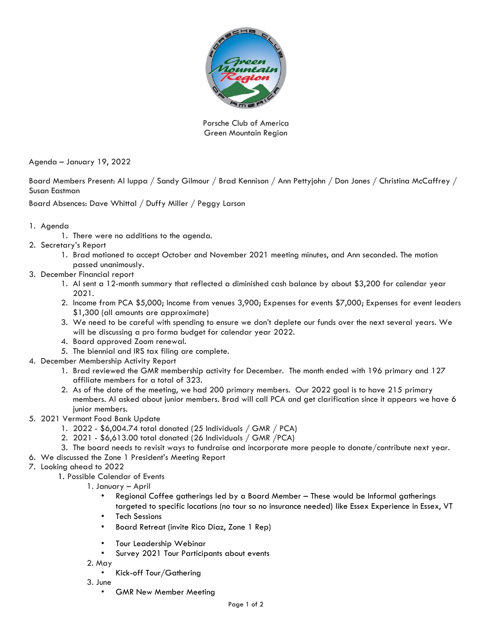

Porsche Club of America Green Mountain Region

Agenda – January 19, 2022

Board Members Present: Al Iuppa / Sandy Gilmour / Brad Kennison / Ann Pettyjohn / Don Jones / Christina McCaffrey / Susan Eastman

Board Absences: Dave Whittal / Duffy Miller / Peggy Larson

- 1. Agenda
	- 1. There were no additions to the agenda.
- 2. Secretary's Report
	- 1. Brad motioned to accept October and November 2021 meeting minutes, and Ann seconded. The motion passed unanimously.
- 3. December Financial report
	- 1. Al sent a 12-month summary that reflected a diminished cash balance by about \$3,200 for calendar year 2021.
	- 2. Income from PCA \$5,000; Income from venues 3,900; Expenses for events \$7,000; Expenses for event leaders \$1,300 (all amounts are approximate)
	- 3. We need to be careful with spending to ensure we don't deplete our funds over the next several years. We will be discussing a pro forma budget for calendar year 2022.
	- 4. Board approved Zoom renewal.
	- 5. The biennial and IRS tax filing are complete.
- 4. December Membership Activity Report
	- 1. Brad reviewed the GMR membership activity for December. The month ended with 196 primary and 127 affiliate members for a total of 323.
	- 2. As of the date of the meeting, we had 200 primary members. Our 2022 goal is to have 215 primary members. Al asked about junior members. Brad will call PCA and get clarification since it appears we have 6 junior members.
- 5. 2021 Vermont Food Bank Update
	- 1. 2022 \$6,004.74 total donated (25 Individuals / GMR / PCA)
	- 2. 2021 \$6,613.00 total donated (26 Individuals / GMR /PCA)
	- 3. The board needs to revisit ways to fundraise and incorporate more people to donate/contribute next year.
- 6. We discussed the Zone 1 President's Meeting Report
- 7. Looking ahead to 2022
	- 1. Possible Calendar of Events
		- 1. January April
			- Regional Coffee gatherings led by a Board Member These would be Informal gatherings targeted to specific locations (no tour so no insurance needed) like Essex Experience in Essex, VT
			- **Tech Sessions**
			- Board Retreat (invite Rico Diaz, Zone 1 Rep)
			- Tour Leadership Webinar
			- Survey 2021 Tour Participants about events
		- 2. May
			- Kick-off Tour/Gathering
		- 3. June
			- GMR New Member Meeting